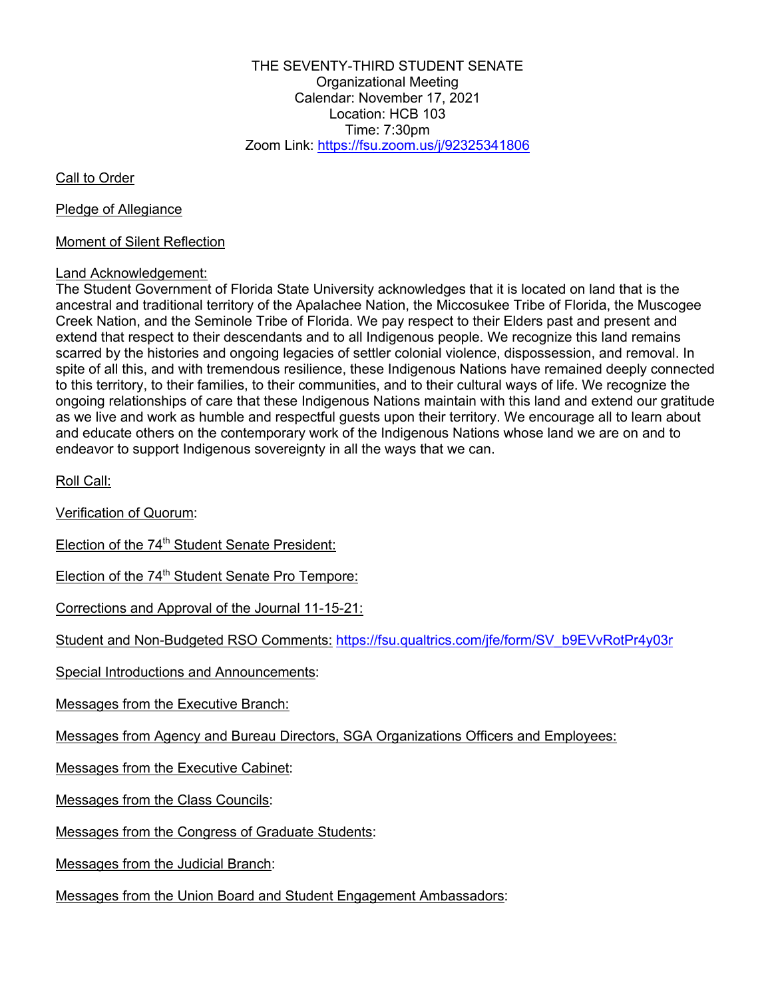THE SEVENTY-THIRD STUDENT SENATE Organizational Meeting Calendar: November 17, 2021 Location: HCB 103 Time: 7:30pm Zoom Link: https://fsu.zoom.us/j/92325341806

Call to Order

Pledge of Allegiance

## Moment of Silent Reflection

## Land Acknowledgement:

The Student Government of Florida State University acknowledges that it is located on land that is the ancestral and traditional territory of the Apalachee Nation, the Miccosukee Tribe of Florida, the Muscogee Creek Nation, and the Seminole Tribe of Florida. We pay respect to their Elders past and present and extend that respect to their descendants and to all Indigenous people. We recognize this land remains scarred by the histories and ongoing legacies of settler colonial violence, dispossession, and removal. In spite of all this, and with tremendous resilience, these Indigenous Nations have remained deeply connected to this territory, to their families, to their communities, and to their cultural ways of life. We recognize the ongoing relationships of care that these Indigenous Nations maintain with this land and extend our gratitude as we live and work as humble and respectful guests upon their territory. We encourage all to learn about and educate others on the contemporary work of the Indigenous Nations whose land we are on and to endeavor to support Indigenous sovereignty in all the ways that we can.

Roll Call:

Verification of Quorum:

Election of the 74<sup>th</sup> Student Senate President:

Election of the 74<sup>th</sup> Student Senate Pro Tempore:

Corrections and Approval of the Journal 11-15-21:

Student and Non-Budgeted RSO Comments: https://fsu.qualtrics.com/jfe/form/SV\_b9EVvRotPr4y03r

Special Introductions and Announcements:

Messages from the Executive Branch:

Messages from Agency and Bureau Directors, SGA Organizations Officers and Employees:

Messages from the Executive Cabinet:

Messages from the Class Councils:

Messages from the Congress of Graduate Students:

Messages from the Judicial Branch:

Messages from the Union Board and Student Engagement Ambassadors: